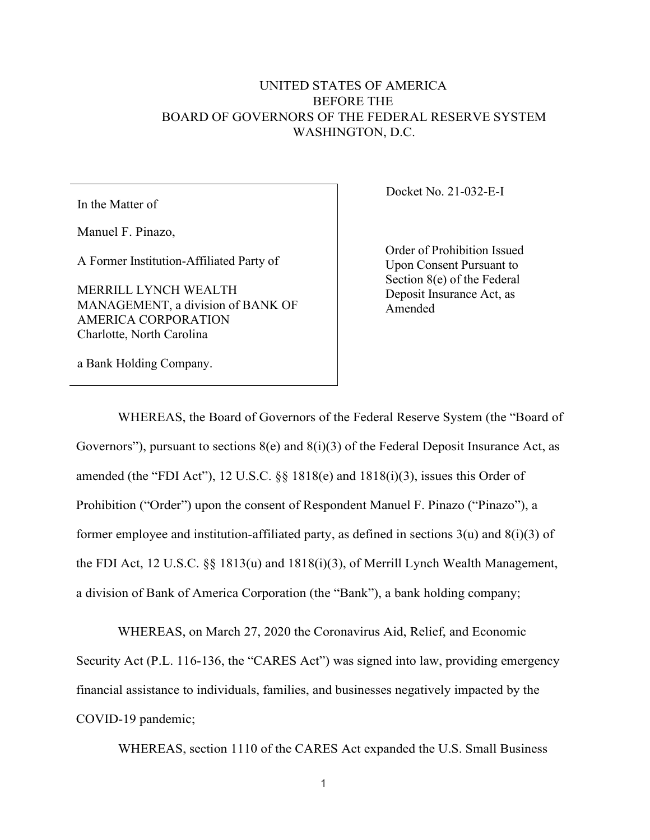## UNITED STATES OF AMERICA BEFORE THE BOARD OF GOVERNORS OF THE FEDERAL RESERVE SYSTEM WASHINGTON, D.C.

In the Matter of

Manuel F. Pinazo,

A Former Institution-Affiliated Party of

MERRILL LYNCH WEALTH MANAGEMENT, a division of BANK OF AMERICA CORPORATION Charlotte, North Carolina

a Bank Holding Company.

Docket No. 21-032-E-I

Order of Prohibition Issued Upon Consent Pursuant to Section 8(e) of the Federal Deposit Insurance Act, as Amended

WHEREAS, the Board of Governors of the Federal Reserve System (the "Board of Governors"), pursuant to sections  $8(e)$  and  $8(i)(3)$  of the Federal Deposit Insurance Act, as amended (the "FDI Act"), 12 U.S.C. §§ 1818(e) and 1818(i)(3), issues this Order of Prohibition ("Order") upon the consent of Respondent Manuel F. Pinazo ("Pinazo"), a former employee and institution-affiliated party, as defined in sections  $3(u)$  and  $8(i)(3)$  of the FDI Act, 12 U.S.C. §§ 1813(u) and 1818(i)(3), of Merrill Lynch Wealth Management, a division of Bank of America Corporation (the "Bank"), a bank holding company;

WHEREAS, on March 27, 2020 the Coronavirus Aid, Relief, and Economic Security Act (P.L. 116-136, the "CARES Act") was signed into law, providing emergency financial assistance to individuals, families, and businesses negatively impacted by the COVID-19 pandemic;

WHEREAS, section 1110 of the CARES Act expanded the U.S. Small Business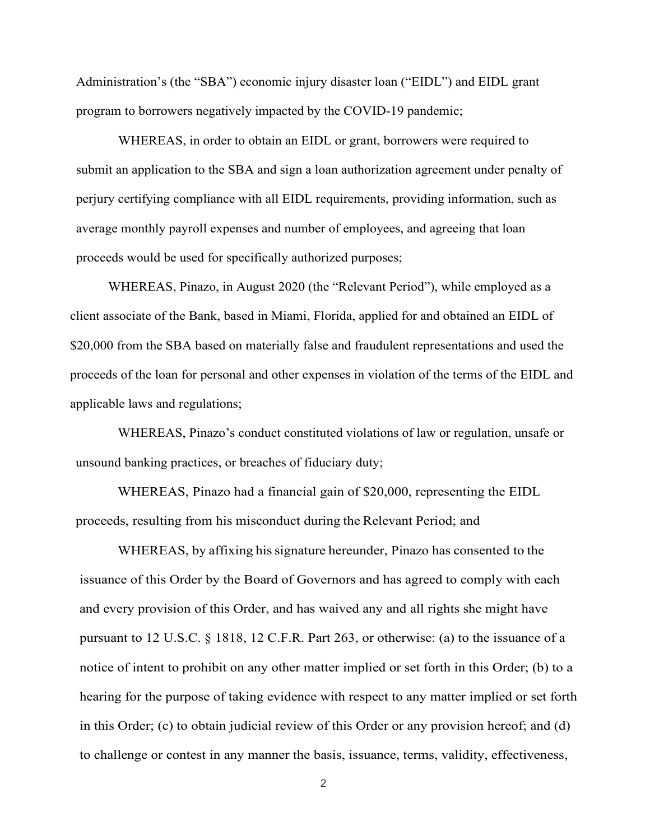Administration's (the "SBA") economic injury disaster loan ("EIDL") and EIDL grant program to borrowers negatively impacted by the COVID-19 pandemic;

WHEREAS, in order to obtain an EIDL or grant, borrowers were required to submit an application to the SBA and sign a loan authorization agreement under penalty of perjury certifying compliance with all EIDL requirements, providing information, such as average monthly payroll expenses and number of employees, and agreeing that loan proceeds would be used for specifically authorized purposes;

WHEREAS, Pinazo, in August 2020 (the "Relevant Period"), while employed as a client associate of the Bank, based in Miami, Florida, applied for and obtained an EIDL of \$20,000 from the SBA based on materially false and fraudulent representations and used the proceeds of the loan for personal and other expenses in violation of the terms of the EIDL and applicable laws and regulations;

WHEREAS, Pinazo's conduct constituted violations of law or regulation, unsafe or unsound banking practices, or breaches of fiduciary duty;

WHEREAS, Pinazo had a financial gain of \$20,000, representing the EIDL proceeds, resulting from his misconduct during the Relevant Period; and

WHEREAS, by affixing his signature hereunder, Pinazo has consented to the issuance of this Order by the Board of Governors and has agreed to comply with each and every provision of this Order, and has waived any and all rights she might have pursuant to 12 U.S.C. § 1818, 12 C.F.R. Part 263, or otherwise: (a) to the issuance of a notice of intent to prohibit on any other matter implied or set forth in this Order; (b) to a hearing for the purpose of taking evidence with respect to any matter implied or set forth in this Order; (c) to obtain judicial review of this Order or any provision hereof; and (d) to challenge or contest in any manner the basis, issuance, terms, validity, effectiveness,

2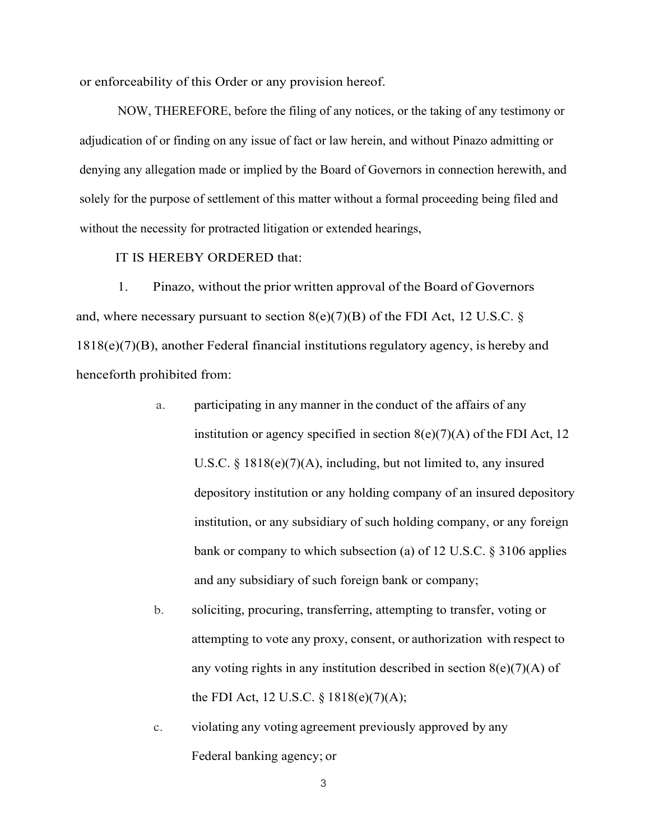or enforceability of this Order or any provision hereof.

NOW, THEREFORE, before the filing of any notices, or the taking of any testimony or adjudication of or finding on any issue of fact or law herein, and without Pinazo admitting or denying any allegation made or implied by the Board of Governors in connection herewith, and solely for the purpose of settlement of this matter without a formal proceeding being filed and without the necessity for protracted litigation or extended hearings,

## IT IS HEREBY ORDERED that:

1. Pinazo, without the prior written approval of the Board of Governors and, where necessary pursuant to section  $8(e)(7)(B)$  of the FDI Act, 12 U.S.C. § 1818(e)(7)(B), another Federal financial institutions regulatory agency, is hereby and henceforth prohibited from:

- a. participating in any manner in the conduct of the affairs of any institution or agency specified in section  $8(e)(7)(A)$  of the FDI Act, 12 U.S.C. § 1818(e)(7)(A), including, but not limited to, any insured depository institution or any holding company of an insured depository institution, or any subsidiary of such holding company, or any foreign bank or company to which subsection (a) of 12 U.S.C. § 3106 applies and any subsidiary of such foreign bank or company;
- b. soliciting, procuring, transferring, attempting to transfer, voting or attempting to vote any proxy, consent, or authorization with respect to any voting rights in any institution described in section  $8(e)(7)(A)$  of the FDI Act, 12 U.S.C. § 1818(e)(7)(A);
- c. violating any voting agreement previously approved by any Federal banking agency; or

3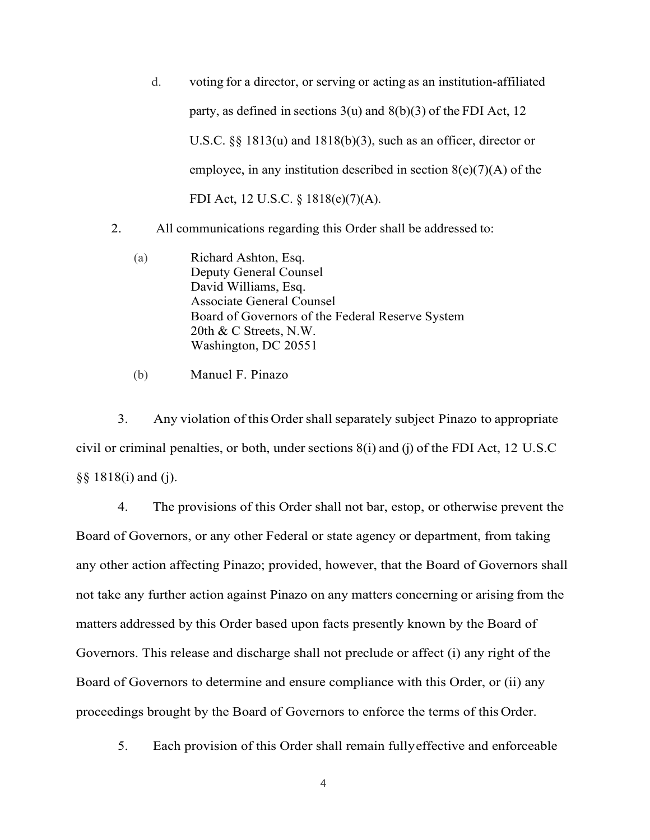- d. voting for a director, or serving or acting as an institution-affiliated party, as defined in sections  $3(u)$  and  $8(b)(3)$  of the FDI Act, 12 U.S.C. §§ 1813(u) and 1818(b)(3), such as an officer, director or employee, in any institution described in section  $8(e)(7)(A)$  of the FDI Act, 12 U.S.C. § 1818(e)(7)(A).
- 2. All communications regarding this Order shall be addressed to:
	- (a) Richard Ashton, Esq. Deputy General Counsel David Williams, Esq. Associate General Counsel Board of Governors of the Federal Reserve System 20th & C Streets, N.W. Washington, DC 20551
	- (b) Manuel F. Pinazo

3. Any violation of this Ordershall separately subject Pinazo to appropriate civil or criminal penalties, or both, under sections  $8(i)$  and (j) of the FDI Act, 12 U.S.C §§ 1818(i) and (j).

4. The provisions of this Order shall not bar, estop, or otherwise prevent the Board of Governors, or any other Federal or state agency or department, from taking any other action affecting Pinazo; provided, however, that the Board of Governors shall not take any further action against Pinazo on any matters concerning or arising from the matters addressed by this Order based upon facts presently known by the Board of Governors. This release and discharge shall not preclude or affect (i) any right of the Board of Governors to determine and ensure compliance with this Order, or (ii) any proceedings brought by the Board of Governors to enforce the terms of this Order.

5. Each provision of this Order shall remain fullyeffective and enforceable

4